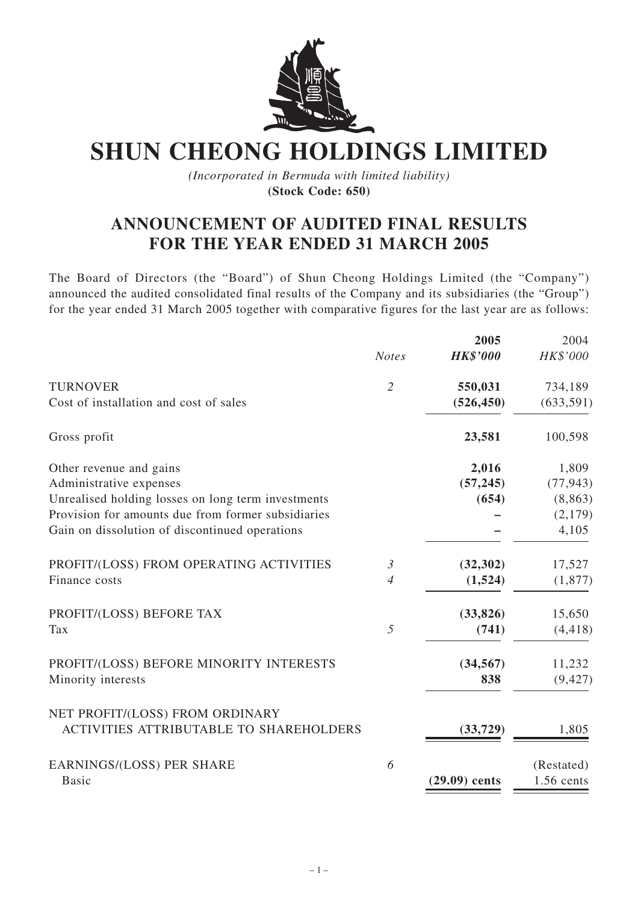

**SHUN CHEONG HOLDINGS LIMITED**

*(Incorporated in Bermuda with limited liability)* **(Stock Code: 650)**

# **ANNOUNCEMENT OF AUDITED FINAL RESULTS FOR THE YEAR ENDED 31 MARCH 2005**

The Board of Directors (the "Board") of Shun Cheong Holdings Limited (the "Company") announced the audited consolidated final results of the Company and its subsidiaries (the "Group") for the year ended 31 March 2005 together with comparative figures for the last year are as follows:

|                                                    |                | 2005            | 2004       |
|----------------------------------------------------|----------------|-----------------|------------|
|                                                    | <b>Notes</b>   | <b>HK\$'000</b> | HK\$'000   |
| <b>TURNOVER</b>                                    | $\overline{2}$ | 550,031         | 734,189    |
| Cost of installation and cost of sales             |                | (526, 450)      | (633, 591) |
| Gross profit                                       |                | 23,581          | 100,598    |
| Other revenue and gains                            |                | 2,016           | 1,809      |
| Administrative expenses                            |                | (57, 245)       | (77, 943)  |
| Unrealised holding losses on long term investments |                | (654)           | (8, 863)   |
| Provision for amounts due from former subsidiaries |                |                 | (2,179)    |
| Gain on dissolution of discontinued operations     |                |                 | 4,105      |
| PROFIT/(LOSS) FROM OPERATING ACTIVITIES            | $\mathfrak{Z}$ | (32, 302)       | 17,527     |
| Finance costs                                      | $\overline{4}$ | (1,524)         | (1, 877)   |
| PROFIT/(LOSS) BEFORE TAX                           |                | (33, 826)       | 15,650     |
| Tax                                                | 5              | (741)           | (4, 418)   |
| PROFIT/(LOSS) BEFORE MINORITY INTERESTS            |                | (34, 567)       | 11,232     |
| Minority interests                                 |                | 838             | (9, 427)   |
| NET PROFIT/(LOSS) FROM ORDINARY                    |                |                 |            |
| <b>ACTIVITIES ATTRIBUTABLE TO SHAREHOLDERS</b>     |                | (33,729)        | 1,805      |
| <b>EARNINGS/(LOSS) PER SHARE</b>                   | 6              |                 | (Restated) |
| <b>Basic</b>                                       |                | $(29.09)$ cents | 1.56 cents |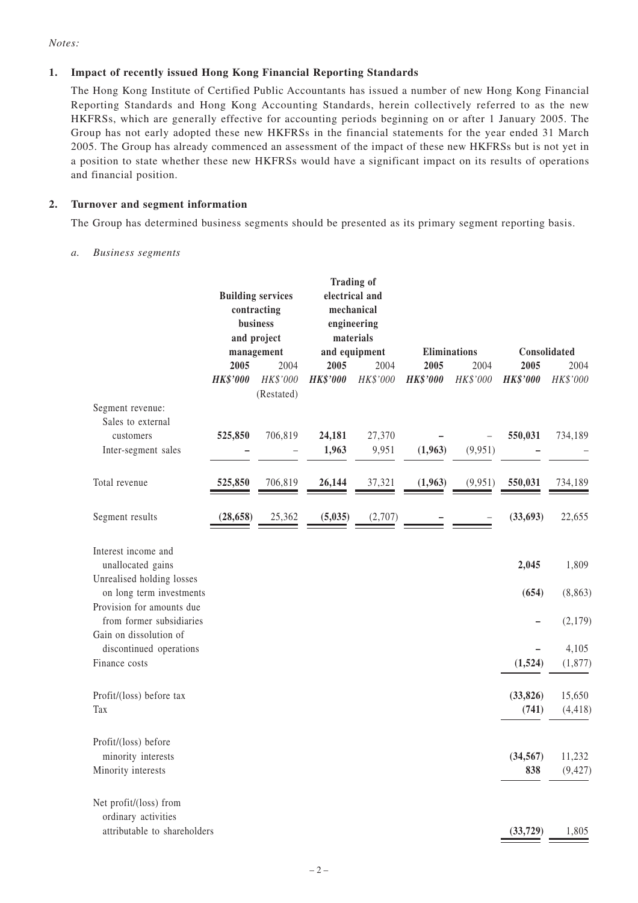*Notes:*

#### **1. Impact of recently issued Hong Kong Financial Reporting Standards**

The Hong Kong Institute of Certified Public Accountants has issued a number of new Hong Kong Financial Reporting Standards and Hong Kong Accounting Standards, herein collectively referred to as the new HKFRSs, which are generally effective for accounting periods beginning on or after 1 January 2005. The Group has not early adopted these new HKFRSs in the financial statements for the year ended 31 March 2005. The Group has already commenced an assessment of the impact of these new HKFRSs but is not yet in a position to state whether these new HKFRSs would have a significant impact on its results of operations and financial position.

#### **2. Turnover and segment information**

The Group has determined business segments should be presented as its primary segment reporting basis.

#### *a. Business segments*

|                                                                                 | <b>Building services</b><br>contracting<br>business<br>and project<br>management |                        | <b>Trading of</b><br>electrical and<br>mechanical<br>engineering<br>materials<br>and equipment |          |                     |          |                  |                    |
|---------------------------------------------------------------------------------|----------------------------------------------------------------------------------|------------------------|------------------------------------------------------------------------------------------------|----------|---------------------|----------|------------------|--------------------|
|                                                                                 |                                                                                  |                        |                                                                                                |          | <b>Eliminations</b> |          | Consolidated     |                    |
|                                                                                 | 2005                                                                             | 2004                   | 2005                                                                                           | 2004     | 2005                | 2004     | 2005             | 2004               |
|                                                                                 | <b>HK\$'000</b>                                                                  | HK\$'000<br>(Restated) | <b>HK\$'000</b>                                                                                | HK\$'000 | <b>HK\$'000</b>     | HK\$'000 | <b>HK\$'000</b>  | HK\$'000           |
| Segment revenue:<br>Sales to external                                           |                                                                                  |                        |                                                                                                |          |                     |          |                  |                    |
| customers                                                                       | 525,850                                                                          | 706,819                | 24,181                                                                                         | 27,370   |                     |          | 550,031          | 734,189            |
|                                                                                 |                                                                                  |                        | 1,963                                                                                          | 9,951    | (1,963)             | (9,951)  |                  |                    |
| Inter-segment sales                                                             |                                                                                  |                        |                                                                                                |          |                     |          |                  |                    |
| Total revenue                                                                   | 525,850                                                                          | 706,819                | 26,144                                                                                         | 37,321   | (1,963)             | (9,951)  | 550,031          | 734,189            |
| Segment results                                                                 | (28, 658)                                                                        | 25,362                 | (5,035)                                                                                        | (2,707)  |                     |          | (33, 693)        | 22,655             |
| Interest income and<br>unallocated gains                                        |                                                                                  |                        |                                                                                                |          |                     |          | 2,045            | 1,809              |
| Unrealised holding losses<br>on long term investments                           |                                                                                  |                        |                                                                                                |          |                     |          | (654)            | (8, 863)           |
| Provision for amounts due<br>from former subsidiaries<br>Gain on dissolution of |                                                                                  |                        |                                                                                                |          |                     |          |                  | (2,179)            |
| discontinued operations                                                         |                                                                                  |                        |                                                                                                |          |                     |          |                  | 4,105              |
| Finance costs                                                                   |                                                                                  |                        |                                                                                                |          |                     |          | (1,524)          | (1, 877)           |
| Profit/(loss) before tax                                                        |                                                                                  |                        |                                                                                                |          |                     |          | (33, 826)        | 15,650             |
| Tax                                                                             |                                                                                  |                        |                                                                                                |          |                     |          | (741)            | (4, 418)           |
| Profit/(loss) before                                                            |                                                                                  |                        |                                                                                                |          |                     |          |                  |                    |
| minority interests<br>Minority interests                                        |                                                                                  |                        |                                                                                                |          |                     |          | (34, 567)<br>838 | 11,232<br>(9, 427) |
| Net profit/(loss) from<br>ordinary activities<br>attributable to shareholders   |                                                                                  |                        |                                                                                                |          |                     |          | (33, 729)        | 1,805              |
|                                                                                 |                                                                                  |                        |                                                                                                |          |                     |          |                  |                    |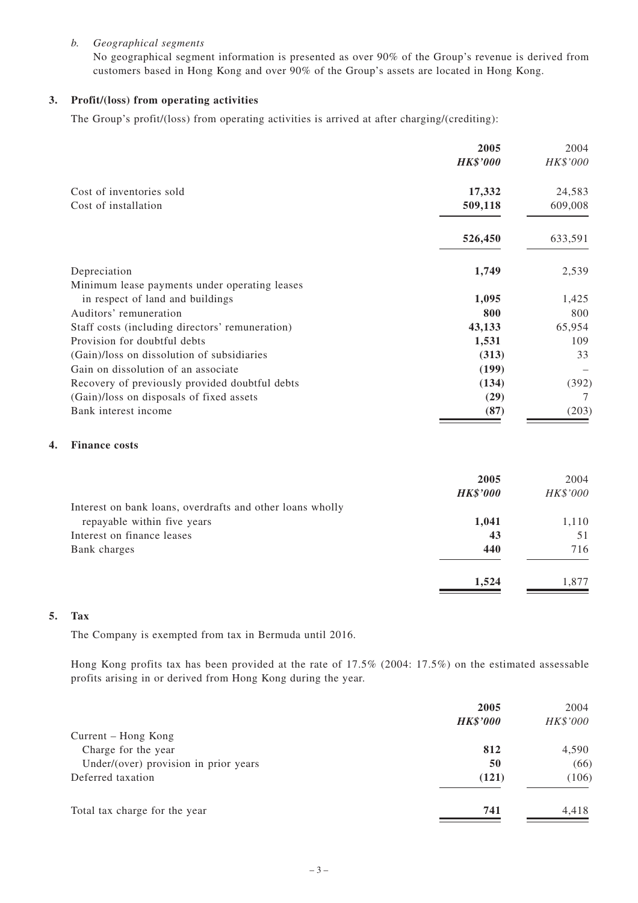#### *b. Geographical segments*

No geographical segment information is presented as over 90% of the Group's revenue is derived from customers based in Hong Kong and over 90% of the Group's assets are located in Hong Kong.

#### **3. Profit/(loss) from operating activities**

The Group's profit/(loss) from operating activities is arrived at after charging/(crediting):

|                                                 | 2005            | 2004     |
|-------------------------------------------------|-----------------|----------|
|                                                 | <b>HK\$'000</b> | HK\$'000 |
| Cost of inventories sold                        | 17,332          | 24,583   |
| Cost of installation                            | 509,118         | 609,008  |
|                                                 | 526,450         | 633,591  |
| Depreciation                                    | 1,749           | 2,539    |
| Minimum lease payments under operating leases   |                 |          |
| in respect of land and buildings                | 1,095           | 1,425    |
| Auditors' remuneration                          | 800             | 800      |
| Staff costs (including directors' remuneration) | 43,133          | 65,954   |
| Provision for doubtful debts                    | 1,531           | 109      |
| (Gain)/loss on dissolution of subsidiaries      | (313)           | 33       |
| Gain on dissolution of an associate             | (199)           |          |
| Recovery of previously provided doubtful debts  | (134)           | (392)    |
| (Gain)/loss on disposals of fixed assets        | (29)            |          |
| Bank interest income                            | (87)            | (203)    |

#### **4. Finance costs**

|                                                           | 2005<br><b>HK\$'000</b> | 2004<br>HK\$'000 |
|-----------------------------------------------------------|-------------------------|------------------|
| Interest on bank loans, overdrafts and other loans wholly |                         |                  |
| repayable within five years                               | 1,041                   | 1,110            |
| Interest on finance leases                                | 43                      | 51               |
| Bank charges                                              | 440                     | 716              |
|                                                           | 1,524                   | 1.877            |

#### **5. Tax**

The Company is exempted from tax in Bermuda until 2016.

Hong Kong profits tax has been provided at the rate of 17.5% (2004: 17.5%) on the estimated assessable profits arising in or derived from Hong Kong during the year.

|                                       | 2005<br><b>HK\$'000</b> | 2004<br>HK\$'000 |
|---------------------------------------|-------------------------|------------------|
| Current – Hong Kong                   |                         |                  |
| Charge for the year                   | 812                     | 4,590            |
| Under/(over) provision in prior years | 50                      | (66)             |
| Deferred taxation                     | (121)                   | (106)            |
| Total tax charge for the year         | 741                     | 4,418            |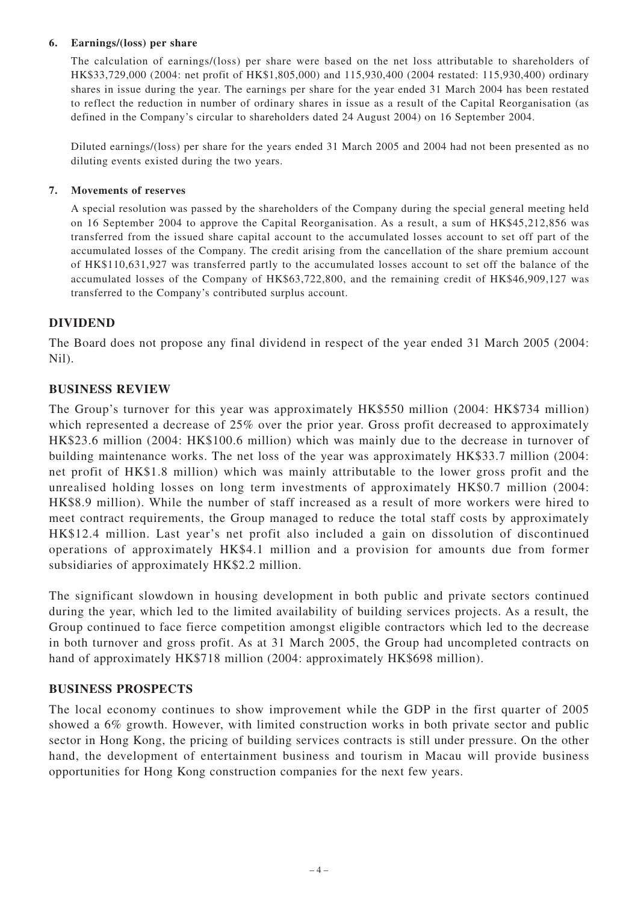### **6. Earnings/(loss) per share**

The calculation of earnings/(loss) per share were based on the net loss attributable to shareholders of HK\$33,729,000 (2004: net profit of HK\$1,805,000) and 115,930,400 (2004 restated: 115,930,400) ordinary shares in issue during the year. The earnings per share for the year ended 31 March 2004 has been restated to reflect the reduction in number of ordinary shares in issue as a result of the Capital Reorganisation (as defined in the Company's circular to shareholders dated 24 August 2004) on 16 September 2004.

Diluted earnings/(loss) per share for the years ended 31 March 2005 and 2004 had not been presented as no diluting events existed during the two years.

#### **7. Movements of reserves**

A special resolution was passed by the shareholders of the Company during the special general meeting held on 16 September 2004 to approve the Capital Reorganisation. As a result, a sum of HK\$45,212,856 was transferred from the issued share capital account to the accumulated losses account to set off part of the accumulated losses of the Company. The credit arising from the cancellation of the share premium account of HK\$110,631,927 was transferred partly to the accumulated losses account to set off the balance of the accumulated losses of the Company of HK\$63,722,800, and the remaining credit of HK\$46,909,127 was transferred to the Company's contributed surplus account.

### **DIVIDEND**

The Board does not propose any final dividend in respect of the year ended 31 March 2005 (2004: Nil).

### **BUSINESS REVIEW**

The Group's turnover for this year was approximately HK\$550 million (2004: HK\$734 million) which represented a decrease of 25% over the prior year. Gross profit decreased to approximately HK\$23.6 million (2004: HK\$100.6 million) which was mainly due to the decrease in turnover of building maintenance works. The net loss of the year was approximately HK\$33.7 million (2004: net profit of HK\$1.8 million) which was mainly attributable to the lower gross profit and the unrealised holding losses on long term investments of approximately HK\$0.7 million (2004: HK\$8.9 million). While the number of staff increased as a result of more workers were hired to meet contract requirements, the Group managed to reduce the total staff costs by approximately HK\$12.4 million. Last year's net profit also included a gain on dissolution of discontinued operations of approximately HK\$4.1 million and a provision for amounts due from former subsidiaries of approximately HK\$2.2 million.

The significant slowdown in housing development in both public and private sectors continued during the year, which led to the limited availability of building services projects. As a result, the Group continued to face fierce competition amongst eligible contractors which led to the decrease in both turnover and gross profit. As at 31 March 2005, the Group had uncompleted contracts on hand of approximately HK\$718 million (2004: approximately HK\$698 million).

### **BUSINESS PROSPECTS**

The local economy continues to show improvement while the GDP in the first quarter of 2005 showed a 6% growth. However, with limited construction works in both private sector and public sector in Hong Kong, the pricing of building services contracts is still under pressure. On the other hand, the development of entertainment business and tourism in Macau will provide business opportunities for Hong Kong construction companies for the next few years.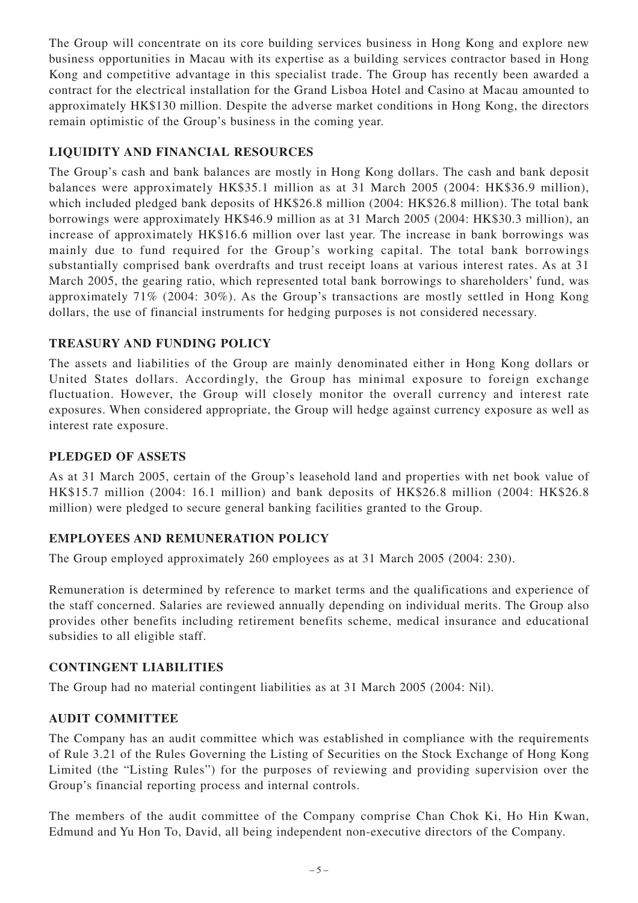The Group will concentrate on its core building services business in Hong Kong and explore new business opportunities in Macau with its expertise as a building services contractor based in Hong Kong and competitive advantage in this specialist trade. The Group has recently been awarded a contract for the electrical installation for the Grand Lisboa Hotel and Casino at Macau amounted to approximately HK\$130 million. Despite the adverse market conditions in Hong Kong, the directors remain optimistic of the Group's business in the coming year.

# **LIQUIDITY AND FINANCIAL RESOURCES**

The Group's cash and bank balances are mostly in Hong Kong dollars. The cash and bank deposit balances were approximately HK\$35.1 million as at 31 March 2005 (2004: HK\$36.9 million), which included pledged bank deposits of HK\$26.8 million (2004: HK\$26.8 million). The total bank borrowings were approximately HK\$46.9 million as at 31 March 2005 (2004: HK\$30.3 million), an increase of approximately HK\$16.6 million over last year. The increase in bank borrowings was mainly due to fund required for the Group's working capital. The total bank borrowings substantially comprised bank overdrafts and trust receipt loans at various interest rates. As at 31 March 2005, the gearing ratio, which represented total bank borrowings to shareholders' fund, was approximately 71% (2004: 30%). As the Group's transactions are mostly settled in Hong Kong dollars, the use of financial instruments for hedging purposes is not considered necessary.

# **TREASURY AND FUNDING POLICY**

The assets and liabilities of the Group are mainly denominated either in Hong Kong dollars or United States dollars. Accordingly, the Group has minimal exposure to foreign exchange fluctuation. However, the Group will closely monitor the overall currency and interest rate exposures. When considered appropriate, the Group will hedge against currency exposure as well as interest rate exposure.

## **PLEDGED OF ASSETS**

As at 31 March 2005, certain of the Group's leasehold land and properties with net book value of HK\$15.7 million (2004: 16.1 million) and bank deposits of HK\$26.8 million (2004: HK\$26.8 million) were pledged to secure general banking facilities granted to the Group.

# **EMPLOYEES AND REMUNERATION POLICY**

The Group employed approximately 260 employees as at 31 March 2005 (2004: 230).

Remuneration is determined by reference to market terms and the qualifications and experience of the staff concerned. Salaries are reviewed annually depending on individual merits. The Group also provides other benefits including retirement benefits scheme, medical insurance and educational subsidies to all eligible staff.

### **CONTINGENT LIABILITIES**

The Group had no material contingent liabilities as at 31 March 2005 (2004: Nil).

### **AUDIT COMMITTEE**

The Company has an audit committee which was established in compliance with the requirements of Rule 3.21 of the Rules Governing the Listing of Securities on the Stock Exchange of Hong Kong Limited (the "Listing Rules") for the purposes of reviewing and providing supervision over the Group's financial reporting process and internal controls.

The members of the audit committee of the Company comprise Chan Chok Ki, Ho Hin Kwan, Edmund and Yu Hon To, David, all being independent non-executive directors of the Company.